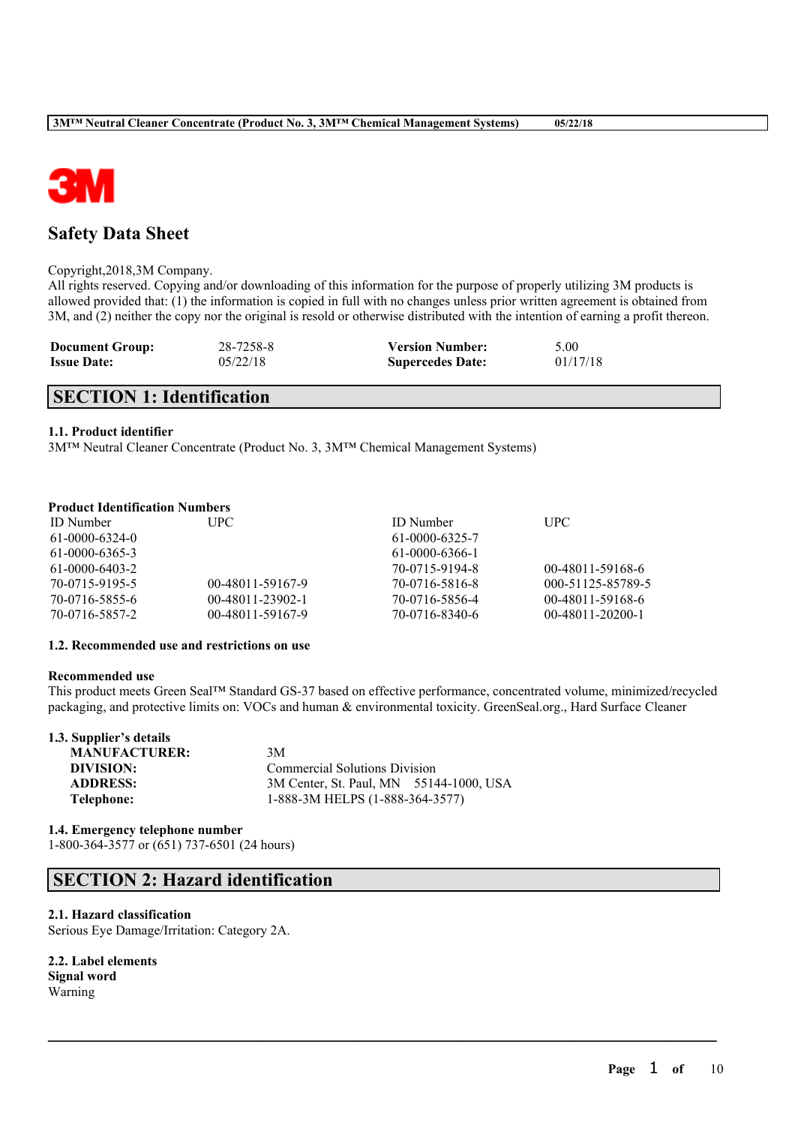

# **Safety Data Sheet**

#### Copyright,2018,3M Company.

All rights reserved. Copying and/or downloading of this information for the purpose of properly utilizing 3M products is allowed provided that: (1) the information is copied in full with no changes unless prior written agreement is obtained from 3M, and (2) neither the copy nor the original is resold or otherwise distributed with the intention of earning a profit thereon.

| <b>Document Group:</b> | 28-7258-8 | <b>Version Number:</b>  | 5.00     |
|------------------------|-----------|-------------------------|----------|
| <b>Issue Date:</b>     | 05/22/18  | <b>Supercedes Date:</b> | 01/17/18 |

# **SECTION 1: Identification**

# **1.1. Product identifier**

3M™ Neutral Cleaner Concentrate (Product No. 3, 3M™ Chemical Management Systems)

# **Product Identification Numbers**

| UPC-             | <b>ID</b> Number | <b>UPC</b>         |
|------------------|------------------|--------------------|
|                  | 61-0000-6325-7   |                    |
|                  | 61-0000-6366-1   |                    |
|                  | 70-0715-9194-8   | 00-48011-59168-6   |
| 00-48011-59167-9 | 70-0716-5816-8   | 000-51125-85789-5  |
| 00-48011-23902-1 | 70-0716-5856-4   | 00-48011-59168-6   |
| 00-48011-59167-9 | 70-0716-8340-6   | $00-48011-20200-1$ |
|                  |                  |                    |

### **1.2. Recommended use and restrictions on use**

#### **Recommended use**

This product meets Green Seal™ Standard GS-37 based on effective performance, concentrated volume, minimized/recycled packaging, and protective limits on: VOCs and human & environmental toxicity. GreenSeal.org., Hard Surface Cleaner

 $\mathcal{L}_\mathcal{L} = \mathcal{L}_\mathcal{L} = \mathcal{L}_\mathcal{L} = \mathcal{L}_\mathcal{L} = \mathcal{L}_\mathcal{L} = \mathcal{L}_\mathcal{L} = \mathcal{L}_\mathcal{L} = \mathcal{L}_\mathcal{L} = \mathcal{L}_\mathcal{L} = \mathcal{L}_\mathcal{L} = \mathcal{L}_\mathcal{L} = \mathcal{L}_\mathcal{L} = \mathcal{L}_\mathcal{L} = \mathcal{L}_\mathcal{L} = \mathcal{L}_\mathcal{L} = \mathcal{L}_\mathcal{L} = \mathcal{L}_\mathcal{L}$ 

| 1.3. Supplier's details |                                         |
|-------------------------|-----------------------------------------|
| <b>MANUFACTURER:</b>    | 3M                                      |
| DIVISION:               | <b>Commercial Solutions Division</b>    |
| <b>ADDRESS:</b>         | 3M Center, St. Paul, MN 55144-1000, USA |
| Telephone:              | 1-888-3M HELPS (1-888-364-3577)         |
|                         |                                         |

**1.4. Emergency telephone number** 1-800-364-3577 or (651) 737-6501 (24 hours)

# **SECTION 2: Hazard identification**

# **2.1. Hazard classification**

Serious Eye Damage/Irritation: Category 2A.

**2.2. Label elements Signal word** Warning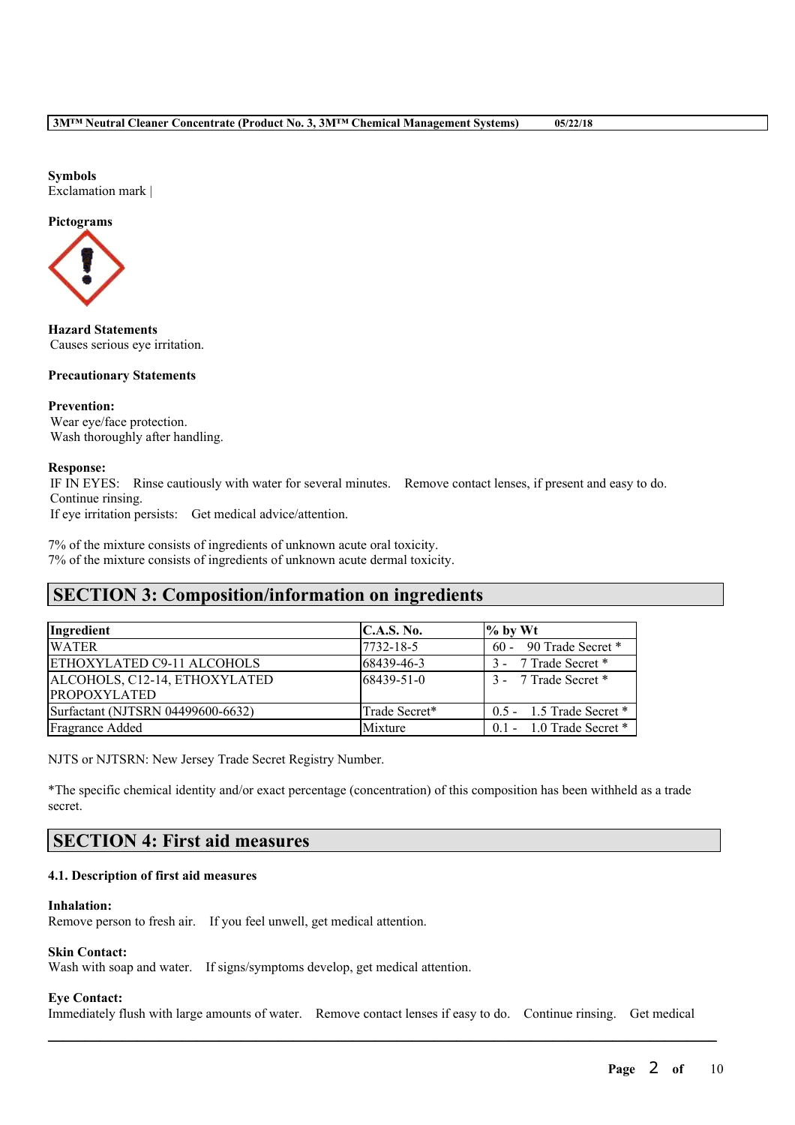# **Symbols**

Exclamation mark |

# **Pictograms**



**Hazard Statements** Causes serious eye irritation.

# **Precautionary Statements**

# **Prevention:**

Wear eye/face protection. Wash thoroughly after handling.

# **Response:**

IF IN EYES: Rinse cautiously with water for several minutes. Remove contact lenses, if present and easy to do. Continue rinsing.

If eye irritation persists: Get medical advice/attention.

7% of the mixture consists of ingredients of unknown acute oral toxicity. 7% of the mixture consists of ingredients of unknown acute dermal toxicity.

# **SECTION 3: Composition/information on ingredients**

| Ingredient                        | C.A.S. No.    | $\%$ by Wt                   |
|-----------------------------------|---------------|------------------------------|
| <b>WATER</b>                      | 7732-18-5     | $60 - 90$ Trade Secret *     |
| ETHOXYLATED C9-11 ALCOHOLS        | 68439-46-3    | 3 - 7 Trade Secret *         |
| ALCOHOLS, C12-14, ETHOXYLATED     | 68439-51-0    | 3 - 7 Trade Secret *         |
| <b>PROPOXYLATED</b>               |               |                              |
| Surfactant (NJTSRN 04499600-6632) | Trade Secret* | $0.5 - 1.5$ Trade Secret $*$ |
| Fragrance Added                   | Mixture       | $0.1 - 1.0$ Trade Secret $*$ |

NJTS or NJTSRN: New Jersey Trade Secret Registry Number.

\*The specific chemical identity and/or exact percentage (concentration) of this composition has been withheld as a trade secret.

# **SECTION 4: First aid measures**

# **4.1. Description of first aid measures**

# **Inhalation:**

Remove person to fresh air. If you feel unwell, get medical attention.

# **Skin Contact:**

Wash with soap and water. If signs/symptoms develop, get medical attention.

# **Eye Contact:**

Immediately flush with large amounts of water. Remove contact lenses if easy to do. Continue rinsing. Get medical

 $\mathcal{L}_\mathcal{L} = \mathcal{L}_\mathcal{L} = \mathcal{L}_\mathcal{L} = \mathcal{L}_\mathcal{L} = \mathcal{L}_\mathcal{L} = \mathcal{L}_\mathcal{L} = \mathcal{L}_\mathcal{L} = \mathcal{L}_\mathcal{L} = \mathcal{L}_\mathcal{L} = \mathcal{L}_\mathcal{L} = \mathcal{L}_\mathcal{L} = \mathcal{L}_\mathcal{L} = \mathcal{L}_\mathcal{L} = \mathcal{L}_\mathcal{L} = \mathcal{L}_\mathcal{L} = \mathcal{L}_\mathcal{L} = \mathcal{L}_\mathcal{L}$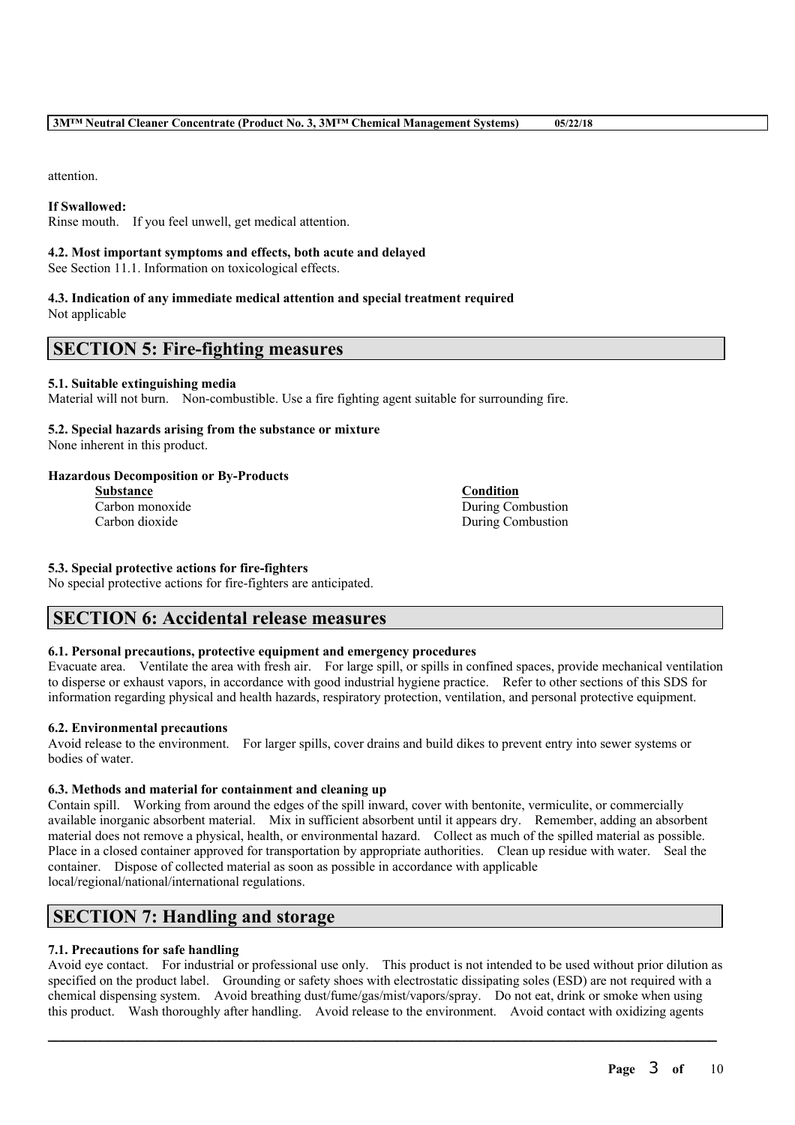attention.

# **If Swallowed:**

Rinse mouth. If you feel unwell, get medical attention.

# **4.2. Most important symptoms and effects, both acute and delayed**

See Section 11.1. Information on toxicological effects.

# **4.3. Indication of any immediate medical attention and special treatment required** Not applicable

# **SECTION 5: Fire-fighting measures**

# **5.1. Suitable extinguishing media**

Material will not burn. Non-combustible. Use a fire fighting agent suitable for surrounding fire.

# **5.2. Special hazards arising from the substance or mixture**

None inherent in this product.

# **Hazardous Decomposition or By-Products**

**Substance Condition**

Carbon monoxide During Combustion Carbon dioxide During Combustion

# **5.3. Special protective actions for fire-fighters**

No special protective actions for fire-fighters are anticipated.

# **SECTION 6: Accidental release measures**

# **6.1. Personal precautions, protective equipment and emergency procedures**

Evacuate area. Ventilate the area with fresh air. For large spill, or spills in confined spaces, provide mechanical ventilation to disperse or exhaust vapors, in accordance with good industrial hygiene practice. Refer to other sections of this SDS for information regarding physical and health hazards, respiratory protection, ventilation, and personal protective equipment.

# **6.2. Environmental precautions**

Avoid release to the environment. For larger spills, cover drains and build dikes to prevent entry into sewer systems or bodies of water.

# **6.3. Methods and material for containment and cleaning up**

Contain spill. Working from around the edges of the spill inward, cover with bentonite, vermiculite, or commercially available inorganic absorbent material. Mix in sufficient absorbent until it appears dry. Remember, adding an absorbent material does not remove a physical, health, or environmental hazard. Collect as much of the spilled material as possible. Place in a closed container approved for transportation by appropriate authorities. Clean up residue with water. Seal the container. Dispose of collected material as soon as possible in accordance with applicable local/regional/national/international regulations.

# **SECTION 7: Handling and storage**

# **7.1. Precautions for safe handling**

Avoid eye contact. For industrial or professional use only. This product is not intended to be used without prior dilution as specified on the product label. Grounding or safety shoes with electrostatic dissipating soles (ESD) are not required with a chemical dispensing system. Avoid breathing dust/fume/gas/mist/vapors/spray. Do not eat, drink or smoke when using this product. Wash thoroughly after handling. Avoid release to the environment. Avoid contact with oxidizing agents

 $\mathcal{L}_\mathcal{L} = \mathcal{L}_\mathcal{L} = \mathcal{L}_\mathcal{L} = \mathcal{L}_\mathcal{L} = \mathcal{L}_\mathcal{L} = \mathcal{L}_\mathcal{L} = \mathcal{L}_\mathcal{L} = \mathcal{L}_\mathcal{L} = \mathcal{L}_\mathcal{L} = \mathcal{L}_\mathcal{L} = \mathcal{L}_\mathcal{L} = \mathcal{L}_\mathcal{L} = \mathcal{L}_\mathcal{L} = \mathcal{L}_\mathcal{L} = \mathcal{L}_\mathcal{L} = \mathcal{L}_\mathcal{L} = \mathcal{L}_\mathcal{L}$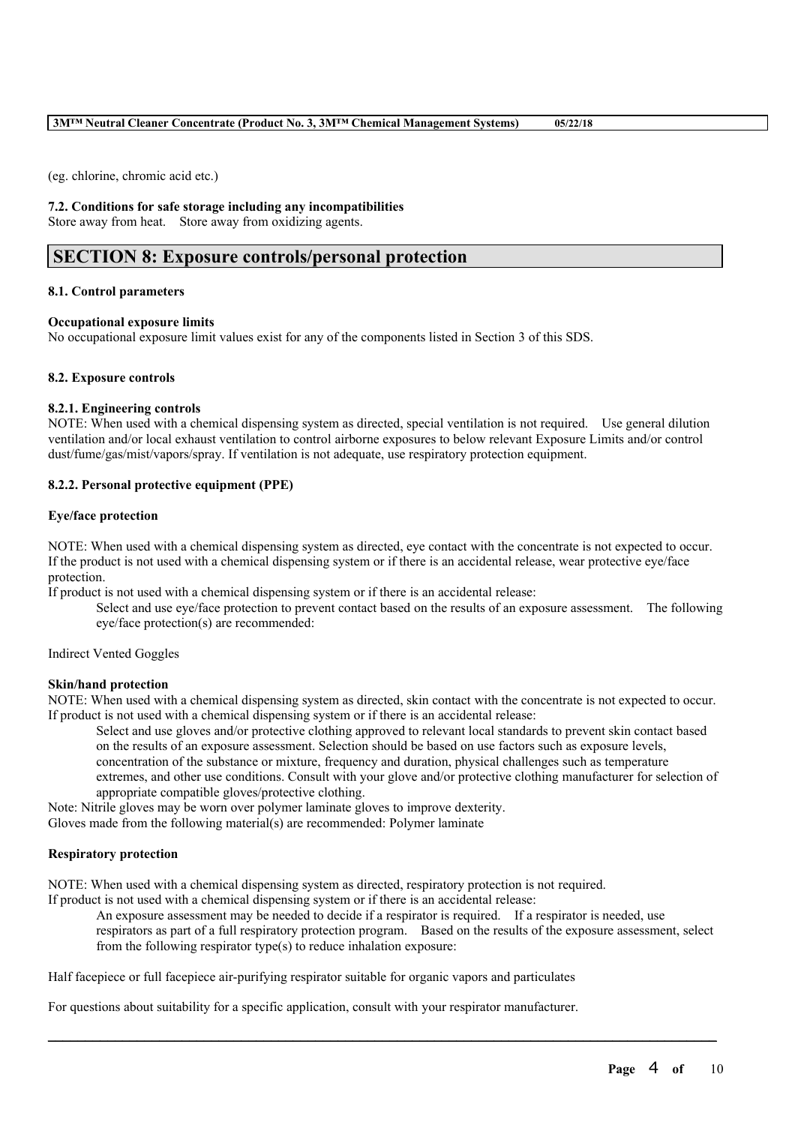(eg. chlorine, chromic acid etc.)

### **7.2. Conditions for safe storage including any incompatibilities**

Store away from heat. Store away from oxidizing agents.

# **SECTION 8: Exposure controls/personal protection**

#### **8.1. Control parameters**

#### **Occupational exposure limits**

No occupational exposure limit values exist for any of the components listed in Section 3 of this SDS.

#### **8.2. Exposure controls**

#### **8.2.1. Engineering controls**

NOTE: When used with a chemical dispensing system as directed, special ventilation is not required. Use general dilution ventilation and/or local exhaust ventilation to control airborne exposures to below relevant Exposure Limits and/or control dust/fume/gas/mist/vapors/spray. If ventilation is not adequate, use respiratory protection equipment.

# **8.2.2. Personal protective equipment (PPE)**

#### **Eye/face protection**

NOTE: When used with a chemical dispensing system as directed, eye contact with the concentrate is not expected to occur. If the product is not used with a chemical dispensing system or if there is an accidental release, wear protective eye/face protection.

If product is not used with a chemical dispensing system or if there is an accidental release:

Select and use eye/face protection to prevent contact based on the results of an exposure assessment. The following eye/face protection(s) are recommended:

Indirect Vented Goggles

#### **Skin/hand protection**

NOTE: When used with a chemical dispensing system as directed, skin contact with the concentrate is not expected to occur. If product is not used with a chemical dispensing system or if there is an accidental release:

Select and use gloves and/or protective clothing approved to relevant local standards to prevent skin contact based on the results of an exposure assessment. Selection should be based on use factors such as exposure levels, concentration of the substance or mixture, frequency and duration, physical challenges such as temperature extremes, and other use conditions. Consult with your glove and/or protective clothing manufacturer for selection of appropriate compatible gloves/protective clothing.

Note: Nitrile gloves may be worn over polymer laminate gloves to improve dexterity.

Gloves made from the following material(s) are recommended: Polymer laminate

# **Respiratory protection**

NOTE: When used with a chemical dispensing system as directed, respiratory protection is not required.

If product is not used with a chemical dispensing system or if there is an accidental release:

An exposure assessment may be needed to decide if a respirator is required. If a respirator is needed, use respirators as part of a full respiratory protection program. Based on the results of the exposure assessment, select from the following respirator type(s) to reduce inhalation exposure:

 $\mathcal{L}_\mathcal{L} = \mathcal{L}_\mathcal{L} = \mathcal{L}_\mathcal{L} = \mathcal{L}_\mathcal{L} = \mathcal{L}_\mathcal{L} = \mathcal{L}_\mathcal{L} = \mathcal{L}_\mathcal{L} = \mathcal{L}_\mathcal{L} = \mathcal{L}_\mathcal{L} = \mathcal{L}_\mathcal{L} = \mathcal{L}_\mathcal{L} = \mathcal{L}_\mathcal{L} = \mathcal{L}_\mathcal{L} = \mathcal{L}_\mathcal{L} = \mathcal{L}_\mathcal{L} = \mathcal{L}_\mathcal{L} = \mathcal{L}_\mathcal{L}$ 

Half facepiece or full facepiece air-purifying respirator suitable for organic vapors and particulates

For questions about suitability for a specific application, consult with your respirator manufacturer.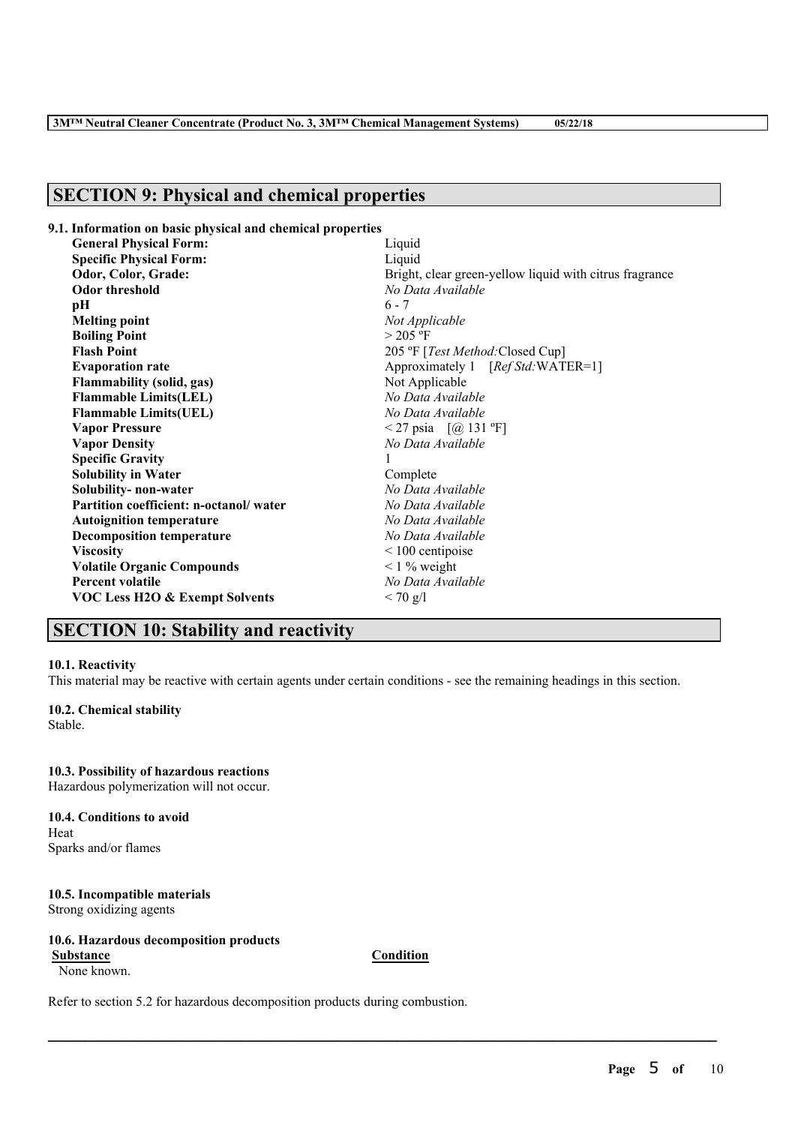# **SECTION 9: Physical and chemical properties**

| 9.1. Information on basic physical and chemical properties |                                                         |
|------------------------------------------------------------|---------------------------------------------------------|
| <b>General Physical Form:</b>                              | Liquid                                                  |
| <b>Specific Physical Form:</b>                             | Liquid                                                  |
| Odor, Color, Grade:                                        | Bright, clear green-yellow liquid with citrus fragrance |
| Odor threshold                                             | No Data Available                                       |
| pН                                                         | $6 - 7$                                                 |
| <b>Melting point</b>                                       | Not Applicable                                          |
| <b>Boiling Point</b>                                       | $>$ 205 °F                                              |
| <b>Flash Point</b>                                         | 205 °F [Test Method: Closed Cup]                        |
| <b>Evaporation rate</b>                                    | Approximately 1 [Ref Std:WATER=1]                       |
| <b>Flammability (solid, gas)</b>                           | Not Applicable                                          |
| <b>Flammable Limits(LEL)</b>                               | No Data Available                                       |
| <b>Flammable Limits(UEL)</b>                               | No Data Available                                       |
| <b>Vapor Pressure</b>                                      | <27 psia $[@ 131 °F]$                                   |
| <b>Vapor Density</b>                                       | No Data Available                                       |
| <b>Specific Gravity</b>                                    |                                                         |
| <b>Solubility in Water</b>                                 | Complete                                                |
| Solubility- non-water                                      | No Data Available                                       |
| Partition coefficient: n-octanol/water                     | No Data Available                                       |
| <b>Autoignition temperature</b>                            | No Data Available                                       |
| <b>Decomposition temperature</b>                           | No Data Available                                       |
| <b>Viscosity</b>                                           | $\leq 100$ centipoise                                   |
| <b>Volatile Organic Compounds</b>                          | $\leq$ 1 % weight                                       |
| <b>Percent volatile</b>                                    | No Data Available                                       |
| <b>VOC Less H2O &amp; Exempt Solvents</b>                  | $< 70$ g/l                                              |
|                                                            |                                                         |

# **SECTION 10: Stability and reactivity**

#### **10.1. Reactivity**

This material may be reactive with certain agents under certain conditions - see the remaining headings in this section.

# **10.2. Chemical stability**

Stable.

**10.3. Possibility of hazardous reactions** Hazardous polymerization will not occur.

**10.4. Conditions to avoid** Heat Sparks and/or flames

**10.5. Incompatible materials** Strong oxidizing agents

**10.6. Hazardous decomposition products**

None known.

**Substance Condition**

 $\mathcal{L}_\mathcal{L} = \mathcal{L}_\mathcal{L} = \mathcal{L}_\mathcal{L} = \mathcal{L}_\mathcal{L} = \mathcal{L}_\mathcal{L} = \mathcal{L}_\mathcal{L} = \mathcal{L}_\mathcal{L} = \mathcal{L}_\mathcal{L} = \mathcal{L}_\mathcal{L} = \mathcal{L}_\mathcal{L} = \mathcal{L}_\mathcal{L} = \mathcal{L}_\mathcal{L} = \mathcal{L}_\mathcal{L} = \mathcal{L}_\mathcal{L} = \mathcal{L}_\mathcal{L} = \mathcal{L}_\mathcal{L} = \mathcal{L}_\mathcal{L}$ 

Refer to section 5.2 for hazardous decomposition products during combustion.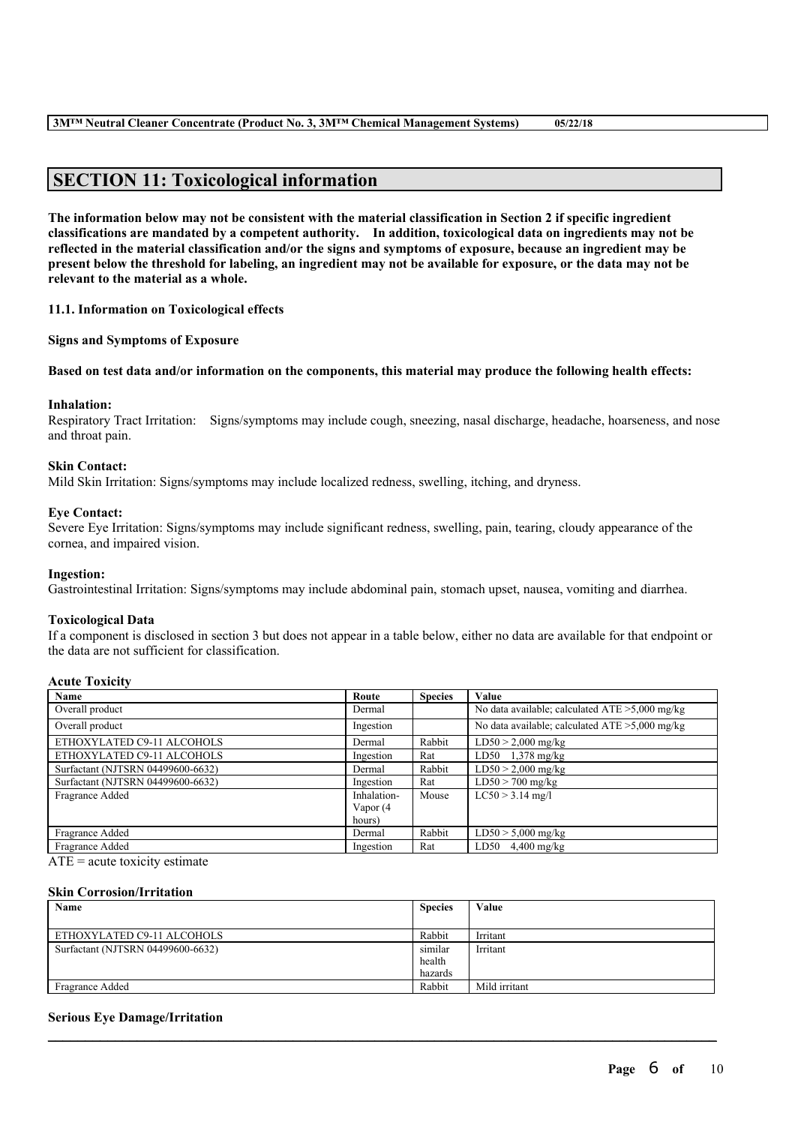# **SECTION 11: Toxicological information**

The information below may not be consistent with the material classification in Section 2 if specific ingredient **classifications are mandated by a competent authority. In addition, toxicological data on ingredients may not be** reflected in the material classification and/or the signs and symptoms of exposure, because an ingredient may be present below the threshold for labeling, an ingredient may not be available for exposure, or the data may not be **relevant to the material as a whole.**

**11.1. Information on Toxicological effects**

**Signs and Symptoms of Exposure**

Based on test data and/or information on the components, this material may produce the following health effects:

#### **Inhalation:**

Respiratory Tract Irritation: Signs/symptoms may include cough, sneezing, nasal discharge, headache, hoarseness, and nose and throat pain.

# **Skin Contact:**

Mild Skin Irritation: Signs/symptoms may include localized redness, swelling, itching, and dryness.

#### **Eye Contact:**

Severe Eye Irritation: Signs/symptoms may include significant redness, swelling, pain, tearing, cloudy appearance of the cornea, and impaired vision.

#### **Ingestion:**

Gastrointestinal Irritation: Signs/symptoms may include abdominal pain, stomach upset, nausea, vomiting and diarrhea.

#### **Toxicological Data**

If a component is disclosed in section 3 but does not appear in a table below, either no data are available for that endpoint or the data are not sufficient for classification.

# **Acute Toxicity**

| Name                              | Route       | <b>Species</b> | Value                                             |
|-----------------------------------|-------------|----------------|---------------------------------------------------|
| Overall product                   | Dermal      |                | No data available; calculated $ATE > 5,000$ mg/kg |
| Overall product                   | Ingestion   |                | No data available; calculated ATE > 5,000 mg/kg   |
| ETHOXYLATED C9-11 ALCOHOLS        | Dermal      | Rabbit         | $LD50 > 2,000$ mg/kg                              |
| ETHOXYLATED C9-11 ALCOHOLS        | Ingestion   | Rat            | LD50 $1,378$ mg/kg                                |
| Surfactant (NJTSRN 04499600-6632) | Dermal      | Rabbit         | $LD50 > 2,000$ mg/kg                              |
| Surfactant (NJTSRN 04499600-6632) | Ingestion   | Rat            | $LD50 > 700$ mg/kg                                |
| Fragrance Added                   | Inhalation- | Mouse          | $LC50 > 3.14$ mg/l                                |
|                                   | Vapor (4    |                |                                                   |
|                                   | hours)      |                |                                                   |
| Fragrance Added                   | Dermal      | Rabbit         | $LD50 > 5,000$ mg/kg                              |
| Fragrance Added                   | Ingestion   | Rat            | $LD50$ 4,400 mg/kg                                |

 $ATE = acute$  toxicity estimate

#### **Skin Corrosion/Irritation**

| Name                              | <b>Species</b> | Value         |
|-----------------------------------|----------------|---------------|
|                                   |                |               |
| ETHOXYLATED C9-11 ALCOHOLS        | Rabbit         | Irritant      |
| Surfactant (NJTSRN 04499600-6632) | similar        | Irritant      |
|                                   | health         |               |
|                                   | hazards        |               |
| Fragrance Added                   | Rabbit         | Mild irritant |
|                                   |                |               |

 $\mathcal{L}_\mathcal{L} = \mathcal{L}_\mathcal{L} = \mathcal{L}_\mathcal{L} = \mathcal{L}_\mathcal{L} = \mathcal{L}_\mathcal{L} = \mathcal{L}_\mathcal{L} = \mathcal{L}_\mathcal{L} = \mathcal{L}_\mathcal{L} = \mathcal{L}_\mathcal{L} = \mathcal{L}_\mathcal{L} = \mathcal{L}_\mathcal{L} = \mathcal{L}_\mathcal{L} = \mathcal{L}_\mathcal{L} = \mathcal{L}_\mathcal{L} = \mathcal{L}_\mathcal{L} = \mathcal{L}_\mathcal{L} = \mathcal{L}_\mathcal{L}$ 

# **Serious Eye Damage/Irritation**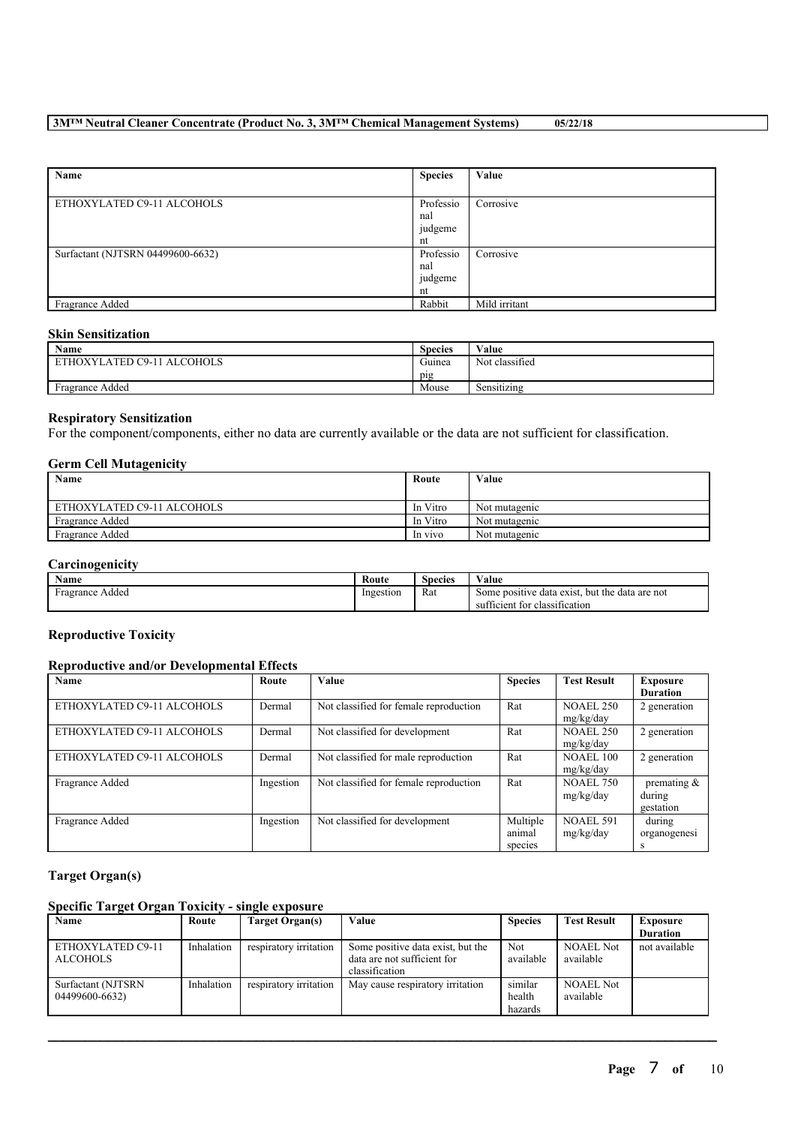# **3M™ Neutral Cleaner Concentrate (Product No. 3, 3M™ Chemical Management Systems) 05/22/18**

| Name                              | <b>Species</b> | Value         |
|-----------------------------------|----------------|---------------|
|                                   |                |               |
| ETHOXYLATED C9-11 ALCOHOLS        | Professio      | Corrosive     |
|                                   | nal            |               |
|                                   | judgeme        |               |
|                                   | nt             |               |
| Surfactant (NJTSRN 04499600-6632) | Professio      | Corrosive     |
|                                   | nal            |               |
|                                   | judgeme        |               |
|                                   | nt             |               |
| Fragrance Added                   | Rabbit         | Mild irritant |

# **Skin Sensitization**

| <b>Name</b>                | <b>Species</b>   | Value                      |
|----------------------------|------------------|----------------------------|
| ETHOXYLATED C9-11 ALCOHOLS | $\sim$<br>Guinea | Not classified             |
|                            | pig              |                            |
| Fragrance Added            | Mouse            | .<br>$\sim$<br>Sensitizing |

# **Respiratory Sensitization**

For the component/components, either no data are currently available or the data are not sufficient for classification.

# **Germ Cell Mutagenicity**

| . <b>. .</b> .<br>Name     | Route    | Value         |
|----------------------------|----------|---------------|
| ETHOXYLATED C9-11 ALCOHOLS | In Vitro | Not mutagenic |
| Fragrance Added            | In Vitro | Not mutagenic |
| Fragrance Added            | In vivo  | Not mutagenic |

# **Carcinogenicity**

| $\mathbf{v}$<br><b>Name</b> | Route     | Species | ∕ alue                                              |
|-----------------------------|-----------|---------|-----------------------------------------------------|
| Fragrance Added             | Ingestion | Rat     | . but the data are not<br>Some positive data exist. |
|                             |           |         | tor classification:<br>sufficient                   |

### **Reproductive Toxicity**

# **Reproductive and/or Developmental Effects**

| Name                       | Route     | <b>Value</b>                           | <b>Species</b>                | <b>Test Result</b>            | Exposure<br><b>Duration</b>           |
|----------------------------|-----------|----------------------------------------|-------------------------------|-------------------------------|---------------------------------------|
| ETHOXYLATED C9-11 ALCOHOLS | Dermal    | Not classified for female reproduction | Rat                           | NOAEL 250<br>mg/kg/day        | 2 generation                          |
| ETHOXYLATED C9-11 ALCOHOLS | Dermal    | Not classified for development         | Rat                           | <b>NOAEL 250</b><br>mg/kg/day | 2 generation                          |
| ETHOXYLATED C9-11 ALCOHOLS | Dermal    | Not classified for male reproduction   | Rat                           | <b>NOAEL 100</b><br>mg/kg/day | 2 generation                          |
| Fragrance Added            | Ingestion | Not classified for female reproduction | Rat                           | <b>NOAEL 750</b><br>mg/kg/day | premating $\&$<br>during<br>gestation |
| Fragrance Added            | Ingestion | Not classified for development         | Multiple<br>animal<br>species | <b>NOAEL 591</b><br>mg/kg/day | during<br>organogenesi<br>S           |

# **Target Organ(s)**

# **Specific Target Organ Toxicity - single exposure**

| Name                                 | Route      | Target Organ(s)        | Value                                                                              | <b>Species</b>               | <b>Test Result</b>            | <b>Exposure</b> |
|--------------------------------------|------------|------------------------|------------------------------------------------------------------------------------|------------------------------|-------------------------------|-----------------|
|                                      |            |                        |                                                                                    |                              |                               | <b>Duration</b> |
| ETHOXYLATED C9-11<br><b>ALCOHOLS</b> | Inhalation | respiratory irritation | Some positive data exist, but the<br>data are not sufficient for<br>classification | <b>Not</b><br>available      | <b>NOAEL Not</b><br>available | not available   |
| Surfactant (NJTSRN<br>04499600-6632) | Inhalation | respiratory irritation | May cause respiratory irritation                                                   | similar<br>health<br>hazards | <b>NOAEL Not</b><br>available |                 |

 $\mathcal{L}_\mathcal{L} = \mathcal{L}_\mathcal{L} = \mathcal{L}_\mathcal{L} = \mathcal{L}_\mathcal{L} = \mathcal{L}_\mathcal{L} = \mathcal{L}_\mathcal{L} = \mathcal{L}_\mathcal{L} = \mathcal{L}_\mathcal{L} = \mathcal{L}_\mathcal{L} = \mathcal{L}_\mathcal{L} = \mathcal{L}_\mathcal{L} = \mathcal{L}_\mathcal{L} = \mathcal{L}_\mathcal{L} = \mathcal{L}_\mathcal{L} = \mathcal{L}_\mathcal{L} = \mathcal{L}_\mathcal{L} = \mathcal{L}_\mathcal{L}$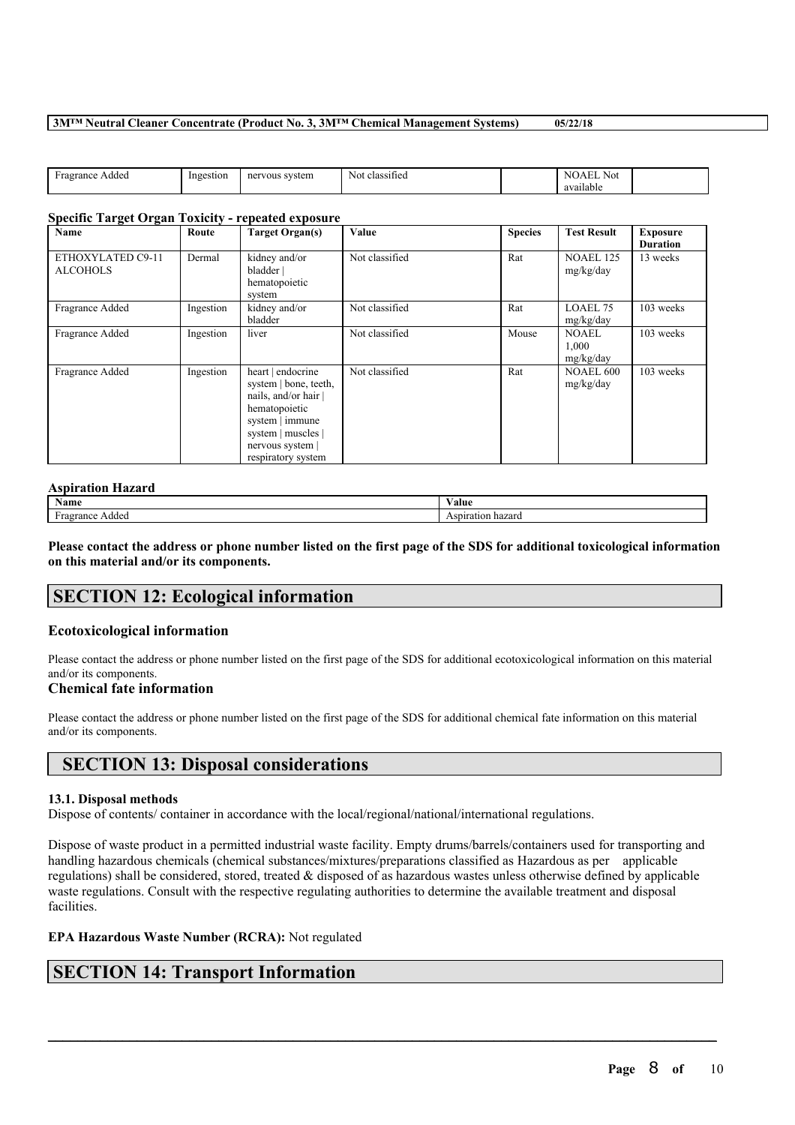### **3M™ Neutral Cleaner Concentrate (Product No. 3, 3M™ Chemical Management Systems) 05/22/18**

| <b>Sec</b><br>$\gamma$ ran $\epsilon$ .<br>Addea<br>ragi | Ingestion | system<br>vous-<br>ner | . .<br>classified<br>Nol. | $N$ i<br>Not<br>.<br>.<br>available |  |
|----------------------------------------------------------|-----------|------------------------|---------------------------|-------------------------------------|--|
|                                                          |           |                        |                           |                                     |  |

# **Specific Target Organ Toxicity - repeated exposure**

| <b>Name</b>                          | Route     | <b>Target Organ(s)</b>                                                                                                                                             | <b>Value</b>   | <b>Species</b> | <b>Test Result</b>                 | <b>Exposure</b><br><b>Duration</b> |
|--------------------------------------|-----------|--------------------------------------------------------------------------------------------------------------------------------------------------------------------|----------------|----------------|------------------------------------|------------------------------------|
| ETHOXYLATED C9-11<br><b>ALCOHOLS</b> | Dermal    | kidney and/or<br>bladder  <br>hematopoietic<br>system                                                                                                              | Not classified | Rat            | <b>NOAEL 125</b><br>mg/kg/day      | 13 weeks                           |
| Fragrance Added                      | Ingestion | kidney and/or<br>bladder                                                                                                                                           | Not classified | Rat            | LOAEL 75<br>mg/kg/day              | 103 weeks                          |
| Fragrance Added                      | Ingestion | liver                                                                                                                                                              | Not classified | Mouse          | <b>NOAEL</b><br>1,000<br>mg/kg/day | 103 weeks                          |
| Fragrance Added                      | Ingestion | heart   endocrine<br>system   bone, teeth,<br>nails, and/or hair<br>hematopoietic<br>system   immune<br>system   muscles  <br>nervous system<br>respiratory system | Not classified | Rat            | <b>NOAEL 600</b><br>mg/kg/day      | 103 weeks                          |

# **Aspiration Hazard**

| $\sim$<br>Name               | $-1$<br>⁄ alue       |
|------------------------------|----------------------|
| rance<br>Added<br>ATY<br>. . | hazard<br>Aspiration |

Please contact the address or phone number listed on the first page of the SDS for additional toxicological information **on this material and/or its components.**

# **SECTION 12: Ecological information**

# **Ecotoxicological information**

Please contact the address or phone number listed on the first page of the SDS for additional ecotoxicological information on this material and/or its components.

# **Chemical fate information**

Please contact the address or phone number listed on the first page of the SDS for additional chemical fate information on this material and/or its components.

# **SECTION 13: Disposal considerations**

# **13.1. Disposal methods**

Dispose of contents/ container in accordance with the local/regional/national/international regulations.

Dispose of waste product in a permitted industrial waste facility. Empty drums/barrels/containers used for transporting and handling hazardous chemicals (chemical substances/mixtures/preparations classified as Hazardous as per applicable regulations) shall be considered, stored, treated & disposed of as hazardous wastes unless otherwise defined by applicable waste regulations. Consult with the respective regulating authorities to determine the available treatment and disposal facilities.

 $\mathcal{L}_\mathcal{L} = \mathcal{L}_\mathcal{L} = \mathcal{L}_\mathcal{L} = \mathcal{L}_\mathcal{L} = \mathcal{L}_\mathcal{L} = \mathcal{L}_\mathcal{L} = \mathcal{L}_\mathcal{L} = \mathcal{L}_\mathcal{L} = \mathcal{L}_\mathcal{L} = \mathcal{L}_\mathcal{L} = \mathcal{L}_\mathcal{L} = \mathcal{L}_\mathcal{L} = \mathcal{L}_\mathcal{L} = \mathcal{L}_\mathcal{L} = \mathcal{L}_\mathcal{L} = \mathcal{L}_\mathcal{L} = \mathcal{L}_\mathcal{L}$ 

# **EPA Hazardous Waste Number (RCRA):** Not regulated

# **SECTION 14: Transport Information**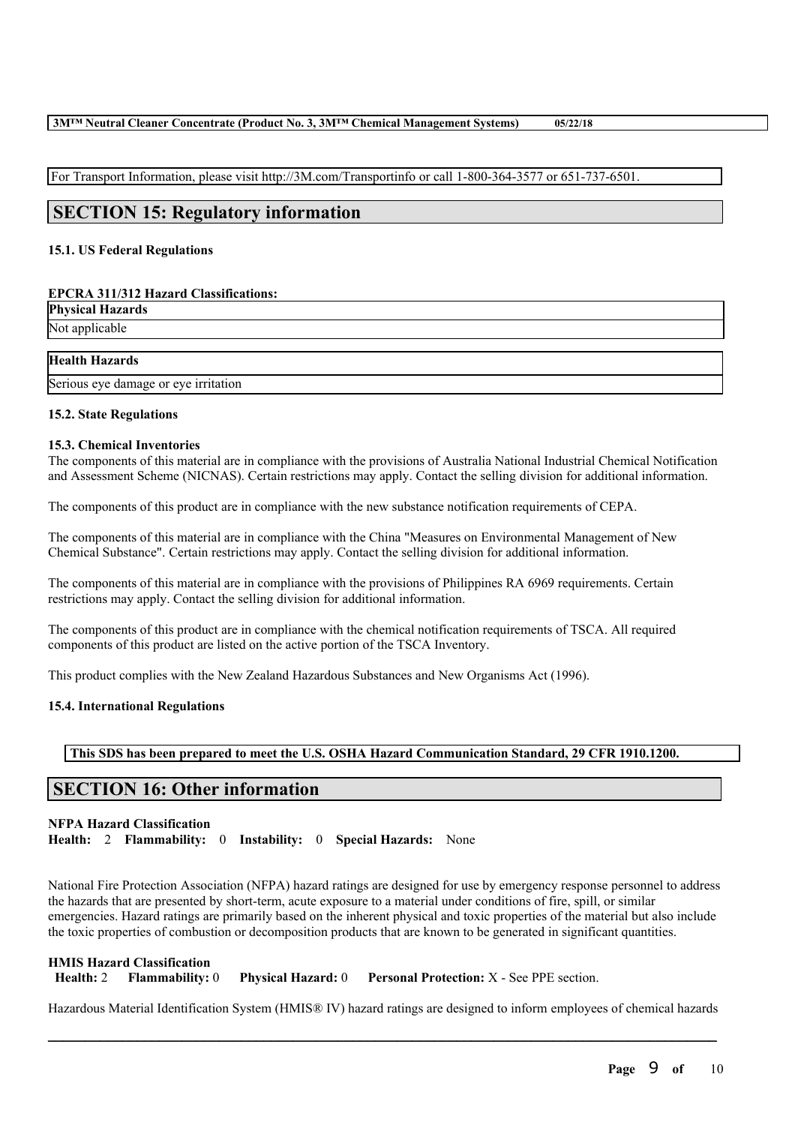For Transport Information, please visit http://3M.com/Transportinfo or call 1-800-364-3577 or 651-737-6501.

# **SECTION 15: Regulatory information**

# **15.1. US Federal Regulations**

# **EPCRA 311/312 Hazard Classifications:**

| <b>Physical Hazards</b> |  |
|-------------------------|--|
| Not applicable          |  |
|                         |  |

# **Health Hazards**

Serious eye damage or eye irritation

# **15.2. State Regulations**

#### **15.3. Chemical Inventories**

The components of this material are in compliance with the provisions of Australia National Industrial Chemical Notification and Assessment Scheme (NICNAS). Certain restrictions may apply. Contact the selling division for additional information.

The components of this product are in compliance with the new substance notification requirements of CEPA.

The components of this material are in compliance with the China "Measures on Environmental Management of New Chemical Substance". Certain restrictions may apply. Contact the selling division for additional information.

The components of this material are in compliance with the provisions of Philippines RA 6969 requirements. Certain restrictions may apply. Contact the selling division for additional information.

The components of this product are in compliance with the chemical notification requirements of TSCA. All required components of this product are listed on the active portion of the TSCA Inventory.

This product complies with the New Zealand Hazardous Substances and New Organisms Act (1996).

# **15.4. International Regulations**

**This SDS has been prepared to meet the U.S. OSHA Hazard Communication Standard, 29 CFR 1910.1200.**

# **SECTION 16: Other information**

# **NFPA Hazard Classification Health:** 2 **Flammability:** 0 **Instability:** 0 **Special Hazards:** None

National Fire Protection Association (NFPA) hazard ratings are designed for use by emergency response personnel to address the hazards that are presented by short-term, acute exposure to a material under conditions of fire, spill, or similar emergencies. Hazard ratings are primarily based on the inherent physical and toxic properties of the material but also include the toxic properties of combustion or decomposition products that are known to be generated in significant quantities.

**HMIS Hazard Classification Health:** 2 **Flammability:** 0 **Physical Hazard:** 0 **Personal Protection:** X - See PPE section.

 $\mathcal{L}_\mathcal{L} = \mathcal{L}_\mathcal{L} = \mathcal{L}_\mathcal{L} = \mathcal{L}_\mathcal{L} = \mathcal{L}_\mathcal{L} = \mathcal{L}_\mathcal{L} = \mathcal{L}_\mathcal{L} = \mathcal{L}_\mathcal{L} = \mathcal{L}_\mathcal{L} = \mathcal{L}_\mathcal{L} = \mathcal{L}_\mathcal{L} = \mathcal{L}_\mathcal{L} = \mathcal{L}_\mathcal{L} = \mathcal{L}_\mathcal{L} = \mathcal{L}_\mathcal{L} = \mathcal{L}_\mathcal{L} = \mathcal{L}_\mathcal{L}$ Hazardous Material Identification System (HMIS® IV) hazard ratings are designed to inform employees of chemical hazards